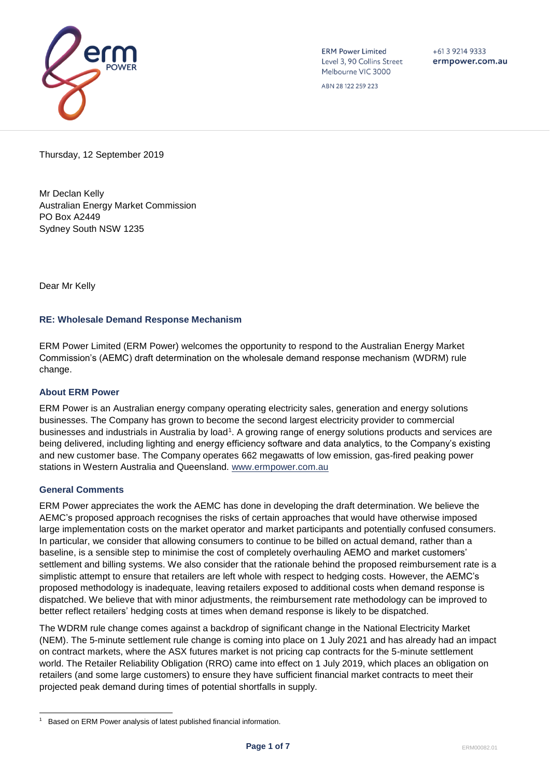

**ERM Power Limited** Level 3, 90 Collins Street Melbourne VIC 3000

ABN 28 122 259 223

 $+61392149333$ ermpower.com.au

Thursday, 12 September 2019

Mr Declan Kelly Australian Energy Market Commission PO Box A2449 Sydney South NSW 1235

Dear Mr Kelly

# **RE: Wholesale Demand Response Mechanism**

ERM Power Limited (ERM Power) welcomes the opportunity to respond to the Australian Energy Market Commission's (AEMC) draft determination on the wholesale demand response mechanism (WDRM) rule change.

## **About ERM Power**

ERM Power is an Australian energy company operating electricity sales, generation and energy solutions businesses. The Company has grown to become the second largest electricity provider to commercial businesses and industrials in Australia by load<sup>1</sup>. A growing range of energy solutions products and services are being delivered, including lighting and energy efficiency software and data analytics, to the Company's existing and new customer base. The Company operates 662 megawatts of low emission, gas-fired peaking power stations in Western Australia and Queensland. [www.ermpower.com.au](http://www.ermpower.com.au/)

## **General Comments**

ERM Power appreciates the work the AEMC has done in developing the draft determination. We believe the AEMC's proposed approach recognises the risks of certain approaches that would have otherwise imposed large implementation costs on the market operator and market participants and potentially confused consumers. In particular, we consider that allowing consumers to continue to be billed on actual demand, rather than a baseline, is a sensible step to minimise the cost of completely overhauling AEMO and market customers' settlement and billing systems. We also consider that the rationale behind the proposed reimbursement rate is a simplistic attempt to ensure that retailers are left whole with respect to hedging costs. However, the AEMC's proposed methodology is inadequate, leaving retailers exposed to additional costs when demand response is dispatched. We believe that with minor adjustments, the reimbursement rate methodology can be improved to better reflect retailers' hedging costs at times when demand response is likely to be dispatched.

The WDRM rule change comes against a backdrop of significant change in the National Electricity Market (NEM). The 5-minute settlement rule change is coming into place on 1 July 2021 and has already had an impact on contract markets, where the ASX futures market is not pricing cap contracts for the 5-minute settlement world. The Retailer Reliability Obligation (RRO) came into effect on 1 July 2019, which places an obligation on retailers (and some large customers) to ensure they have sufficient financial market contracts to meet their projected peak demand during times of potential shortfalls in supply.

l 1 Based on ERM Power analysis of latest published financial information.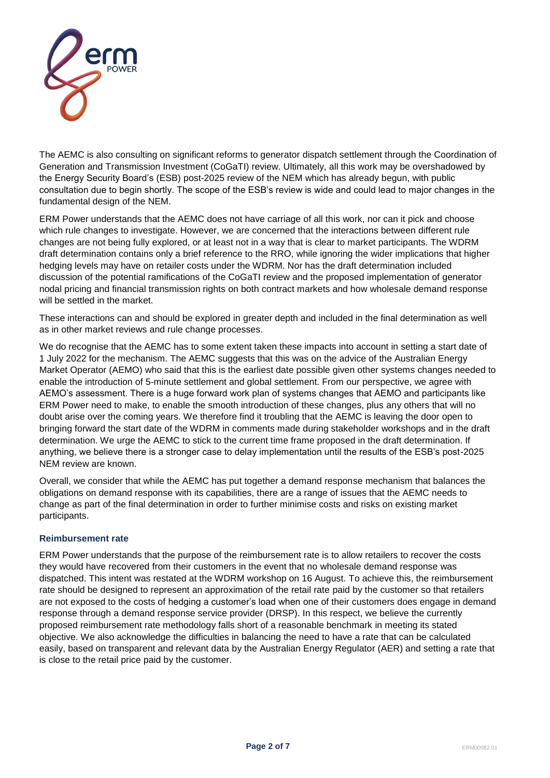

The AEMC is also consulting on significant reforms to generator dispatch settlement through the Coordination of Generation and Transmission Investment (CoGaTI) review. Ultimately, all this work may be overshadowed by the Energy Security Board's (ESB) post-2025 review of the NEM which has already begun, with public consultation due to begin shortly. The scope of the ESB's review is wide and could lead to major changes in the fundamental design of the NEM.

ERM Power understands that the AEMC does not have carriage of all this work, nor can it pick and choose which rule changes to investigate. However, we are concerned that the interactions between different rule changes are not being fully explored, or at least not in a way that is clear to market participants. The WDRM draft determination contains only a brief reference to the RRO, while ignoring the wider implications that higher hedging levels may have on retailer costs under the WDRM. Nor has the draft determination included discussion of the potential ramifications of the CoGaTI review and the proposed implementation of generator nodal pricing and financial transmission rights on both contract markets and how wholesale demand response will be settled in the market.

These interactions can and should be explored in greater depth and included in the final determination as well as in other market reviews and rule change processes.

We do recognise that the AEMC has to some extent taken these impacts into account in setting a start date of 1 July 2022 for the mechanism. The AEMC suggests that this was on the advice of the Australian Energy Market Operator (AEMO) who said that this is the earliest date possible given other systems changes needed to enable the introduction of 5-minute settlement and global settlement. From our perspective, we agree with AEMO's assessment. There is a huge forward work plan of systems changes that AEMO and participants like ERM Power need to make, to enable the smooth introduction of these changes, plus any others that will no doubt arise over the coming years. We therefore find it troubling that the AEMC is leaving the door open to bringing forward the start date of the WDRM in comments made during stakeholder workshops and in the draft determination. We urge the AEMC to stick to the current time frame proposed in the draft determination. If anything, we believe there is a stronger case to delay implementation until the results of the ESB's post-2025 NEM review are known.

Overall, we consider that while the AEMC has put together a demand response mechanism that balances the obligations on demand response with its capabilities, there are a range of issues that the AEMC needs to change as part of the final determination in order to further minimise costs and risks on existing market participants.

## **Reimbursement rate**

ERM Power understands that the purpose of the reimbursement rate is to allow retailers to recover the costs they would have recovered from their customers in the event that no wholesale demand response was dispatched. This intent was restated at the WDRM workshop on 16 August. To achieve this, the reimbursement rate should be designed to represent an approximation of the retail rate paid by the customer so that retailers are not exposed to the costs of hedging a customer's load when one of their customers does engage in demand response through a demand response service provider (DRSP). In this respect, we believe the currently proposed reimbursement rate methodology falls short of a reasonable benchmark in meeting its stated objective. We also acknowledge the difficulties in balancing the need to have a rate that can be calculated easily, based on transparent and relevant data by the Australian Energy Regulator (AER) and setting a rate that is close to the retail price paid by the customer.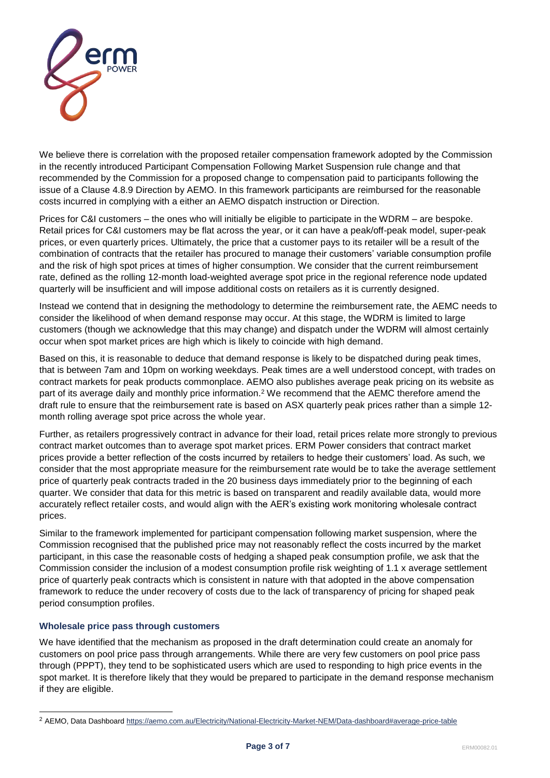

We believe there is correlation with the proposed retailer compensation framework adopted by the Commission in the recently introduced Participant Compensation Following Market Suspension rule change and that recommended by the Commission for a proposed change to compensation paid to participants following the issue of a Clause 4.8.9 Direction by AEMO. In this framework participants are reimbursed for the reasonable costs incurred in complying with a either an AEMO dispatch instruction or Direction.

Prices for C&I customers – the ones who will initially be eligible to participate in the WDRM – are bespoke. Retail prices for C&I customers may be flat across the year, or it can have a peak/off-peak model, super-peak prices, or even quarterly prices. Ultimately, the price that a customer pays to its retailer will be a result of the combination of contracts that the retailer has procured to manage their customers' variable consumption profile and the risk of high spot prices at times of higher consumption. We consider that the current reimbursement rate, defined as the rolling 12-month load-weighted average spot price in the regional reference node updated quarterly will be insufficient and will impose additional costs on retailers as it is currently designed.

Instead we contend that in designing the methodology to determine the reimbursement rate, the AEMC needs to consider the likelihood of when demand response may occur. At this stage, the WDRM is limited to large customers (though we acknowledge that this may change) and dispatch under the WDRM will almost certainly occur when spot market prices are high which is likely to coincide with high demand.

Based on this, it is reasonable to deduce that demand response is likely to be dispatched during peak times, that is between 7am and 10pm on working weekdays. Peak times are a well understood concept, with trades on contract markets for peak products commonplace. AEMO also publishes average peak pricing on its website as part of its average daily and monthly price information.<sup>2</sup> We recommend that the AEMC therefore amend the draft rule to ensure that the reimbursement rate is based on ASX quarterly peak prices rather than a simple 12 month rolling average spot price across the whole year.

Further, as retailers progressively contract in advance for their load, retail prices relate more strongly to previous contract market outcomes than to average spot market prices. ERM Power considers that contract market prices provide a better reflection of the costs incurred by retailers to hedge their customers' load. As such, we consider that the most appropriate measure for the reimbursement rate would be to take the average settlement price of quarterly peak contracts traded in the 20 business days immediately prior to the beginning of each quarter. We consider that data for this metric is based on transparent and readily available data, would more accurately reflect retailer costs, and would align with the AER's existing work monitoring wholesale contract prices.

Similar to the framework implemented for participant compensation following market suspension, where the Commission recognised that the published price may not reasonably reflect the costs incurred by the market participant, in this case the reasonable costs of hedging a shaped peak consumption profile, we ask that the Commission consider the inclusion of a modest consumption profile risk weighting of 1.1 x average settlement price of quarterly peak contracts which is consistent in nature with that adopted in the above compensation framework to reduce the under recovery of costs due to the lack of transparency of pricing for shaped peak period consumption profiles.

## **Wholesale price pass through customers**

l

We have identified that the mechanism as proposed in the draft determination could create an anomaly for customers on pool price pass through arrangements. While there are very few customers on pool price pass through (PPPT), they tend to be sophisticated users which are used to responding to high price events in the spot market. It is therefore likely that they would be prepared to participate in the demand response mechanism if they are eligible.

<sup>2</sup> AEMO, Data Dashboard<https://aemo.com.au/Electricity/National-Electricity-Market-NEM/Data-dashboard#average-price-table>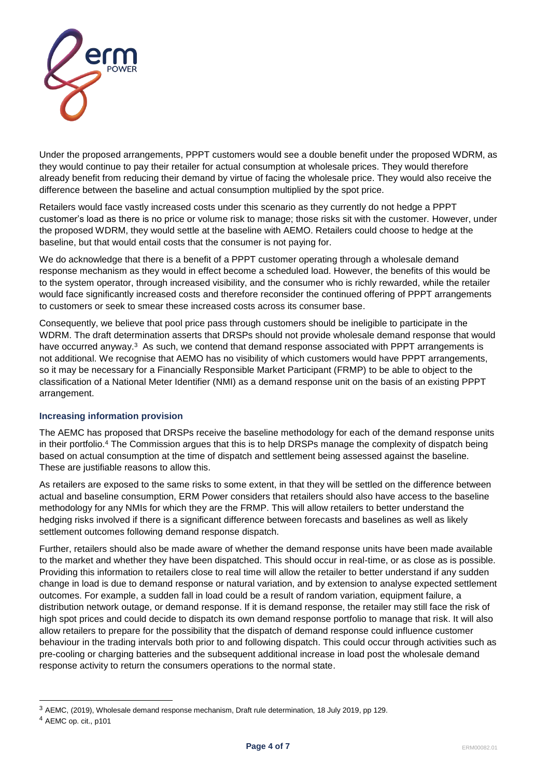

Under the proposed arrangements, PPPT customers would see a double benefit under the proposed WDRM, as they would continue to pay their retailer for actual consumption at wholesale prices. They would therefore already benefit from reducing their demand by virtue of facing the wholesale price. They would also receive the difference between the baseline and actual consumption multiplied by the spot price.

Retailers would face vastly increased costs under this scenario as they currently do not hedge a PPPT customer's load as there is no price or volume risk to manage; those risks sit with the customer. However, under the proposed WDRM, they would settle at the baseline with AEMO. Retailers could choose to hedge at the baseline, but that would entail costs that the consumer is not paying for.

We do acknowledge that there is a benefit of a PPPT customer operating through a wholesale demand response mechanism as they would in effect become a scheduled load. However, the benefits of this would be to the system operator, through increased visibility, and the consumer who is richly rewarded, while the retailer would face significantly increased costs and therefore reconsider the continued offering of PPPT arrangements to customers or seek to smear these increased costs across its consumer base.

Consequently, we believe that pool price pass through customers should be ineligible to participate in the WDRM. The draft determination asserts that DRSPs should not provide wholesale demand response that would have occurred anyway.<sup>3</sup> As such, we contend that demand response associated with PPPT arrangements is not additional. We recognise that AEMO has no visibility of which customers would have PPPT arrangements, so it may be necessary for a Financially Responsible Market Participant (FRMP) to be able to object to the classification of a National Meter Identifier (NMI) as a demand response unit on the basis of an existing PPPT arrangement.

## **Increasing information provision**

The AEMC has proposed that DRSPs receive the baseline methodology for each of the demand response units in their portfolio.<sup>4</sup> The Commission argues that this is to help DRSPs manage the complexity of dispatch being based on actual consumption at the time of dispatch and settlement being assessed against the baseline. These are justifiable reasons to allow this.

As retailers are exposed to the same risks to some extent, in that they will be settled on the difference between actual and baseline consumption, ERM Power considers that retailers should also have access to the baseline methodology for any NMIs for which they are the FRMP. This will allow retailers to better understand the hedging risks involved if there is a significant difference between forecasts and baselines as well as likely settlement outcomes following demand response dispatch.

Further, retailers should also be made aware of whether the demand response units have been made available to the market and whether they have been dispatched. This should occur in real-time, or as close as is possible. Providing this information to retailers close to real time will allow the retailer to better understand if any sudden change in load is due to demand response or natural variation, and by extension to analyse expected settlement outcomes. For example, a sudden fall in load could be a result of random variation, equipment failure, a distribution network outage, or demand response. If it is demand response, the retailer may still face the risk of high spot prices and could decide to dispatch its own demand response portfolio to manage that risk. It will also allow retailers to prepare for the possibility that the dispatch of demand response could influence customer behaviour in the trading intervals both prior to and following dispatch. This could occur through activities such as pre-cooling or charging batteries and the subsequent additional increase in load post the wholesale demand response activity to return the consumers operations to the normal state.

l

<sup>3</sup> AEMC, (2019), Wholesale demand response mechanism, Draft rule determination, 18 July 2019, pp 129.

<sup>4</sup> AEMC op. cit., p101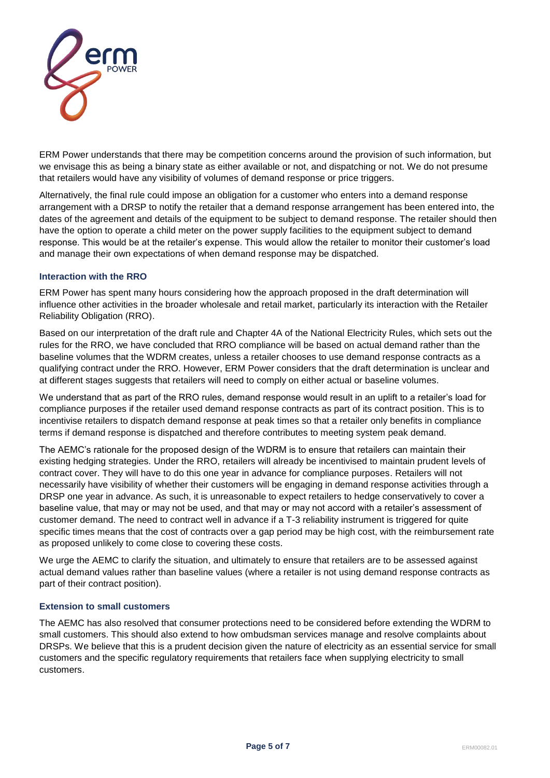

ERM Power understands that there may be competition concerns around the provision of such information, but we envisage this as being a binary state as either available or not, and dispatching or not. We do not presume that retailers would have any visibility of volumes of demand response or price triggers.

Alternatively, the final rule could impose an obligation for a customer who enters into a demand response arrangement with a DRSP to notify the retailer that a demand response arrangement has been entered into, the dates of the agreement and details of the equipment to be subject to demand response. The retailer should then have the option to operate a child meter on the power supply facilities to the equipment subject to demand response. This would be at the retailer's expense. This would allow the retailer to monitor their customer's load and manage their own expectations of when demand response may be dispatched.

## **Interaction with the RRO**

ERM Power has spent many hours considering how the approach proposed in the draft determination will influence other activities in the broader wholesale and retail market, particularly its interaction with the Retailer Reliability Obligation (RRO).

Based on our interpretation of the draft rule and Chapter 4A of the National Electricity Rules, which sets out the rules for the RRO, we have concluded that RRO compliance will be based on actual demand rather than the baseline volumes that the WDRM creates, unless a retailer chooses to use demand response contracts as a qualifying contract under the RRO. However, ERM Power considers that the draft determination is unclear and at different stages suggests that retailers will need to comply on either actual or baseline volumes.

We understand that as part of the RRO rules, demand response would result in an uplift to a retailer's load for compliance purposes if the retailer used demand response contracts as part of its contract position. This is to incentivise retailers to dispatch demand response at peak times so that a retailer only benefits in compliance terms if demand response is dispatched and therefore contributes to meeting system peak demand.

The AEMC's rationale for the proposed design of the WDRM is to ensure that retailers can maintain their existing hedging strategies. Under the RRO, retailers will already be incentivised to maintain prudent levels of contract cover. They will have to do this one year in advance for compliance purposes. Retailers will not necessarily have visibility of whether their customers will be engaging in demand response activities through a DRSP one year in advance. As such, it is unreasonable to expect retailers to hedge conservatively to cover a baseline value, that may or may not be used, and that may or may not accord with a retailer's assessment of customer demand. The need to contract well in advance if a T-3 reliability instrument is triggered for quite specific times means that the cost of contracts over a gap period may be high cost, with the reimbursement rate as proposed unlikely to come close to covering these costs.

We urge the AEMC to clarify the situation, and ultimately to ensure that retailers are to be assessed against actual demand values rather than baseline values (where a retailer is not using demand response contracts as part of their contract position).

## **Extension to small customers**

The AEMC has also resolved that consumer protections need to be considered before extending the WDRM to small customers. This should also extend to how ombudsman services manage and resolve complaints about DRSPs. We believe that this is a prudent decision given the nature of electricity as an essential service for small customers and the specific regulatory requirements that retailers face when supplying electricity to small customers.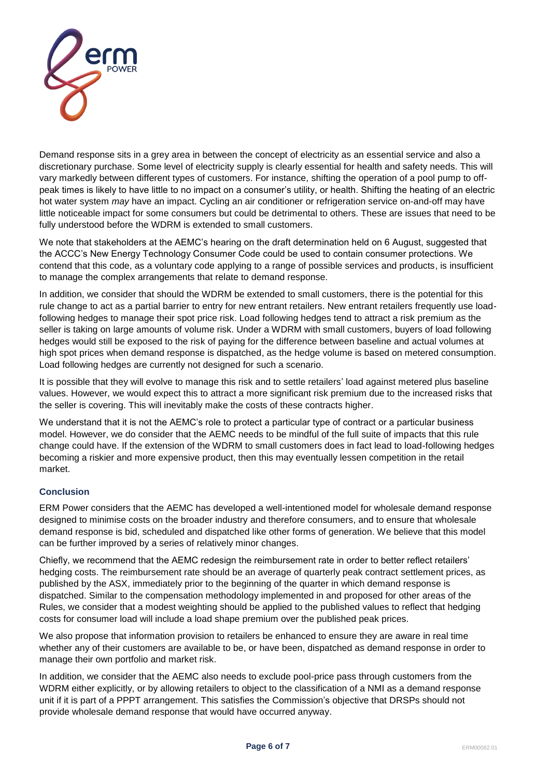

Demand response sits in a grey area in between the concept of electricity as an essential service and also a discretionary purchase. Some level of electricity supply is clearly essential for health and safety needs. This will vary markedly between different types of customers. For instance, shifting the operation of a pool pump to offpeak times is likely to have little to no impact on a consumer's utility, or health. Shifting the heating of an electric hot water system *may* have an impact. Cycling an air conditioner or refrigeration service on-and-off may have little noticeable impact for some consumers but could be detrimental to others. These are issues that need to be fully understood before the WDRM is extended to small customers.

We note that stakeholders at the AEMC's hearing on the draft determination held on 6 August, suggested that the ACCC's New Energy Technology Consumer Code could be used to contain consumer protections. We contend that this code, as a voluntary code applying to a range of possible services and products, is insufficient to manage the complex arrangements that relate to demand response.

In addition, we consider that should the WDRM be extended to small customers, there is the potential for this rule change to act as a partial barrier to entry for new entrant retailers. New entrant retailers frequently use loadfollowing hedges to manage their spot price risk. Load following hedges tend to attract a risk premium as the seller is taking on large amounts of volume risk. Under a WDRM with small customers, buyers of load following hedges would still be exposed to the risk of paying for the difference between baseline and actual volumes at high spot prices when demand response is dispatched, as the hedge volume is based on metered consumption. Load following hedges are currently not designed for such a scenario.

It is possible that they will evolve to manage this risk and to settle retailers' load against metered plus baseline values. However, we would expect this to attract a more significant risk premium due to the increased risks that the seller is covering. This will inevitably make the costs of these contracts higher.

We understand that it is not the AEMC's role to protect a particular type of contract or a particular business model. However, we do consider that the AEMC needs to be mindful of the full suite of impacts that this rule change could have. If the extension of the WDRM to small customers does in fact lead to load-following hedges becoming a riskier and more expensive product, then this may eventually lessen competition in the retail market.

## **Conclusion**

ERM Power considers that the AEMC has developed a well-intentioned model for wholesale demand response designed to minimise costs on the broader industry and therefore consumers, and to ensure that wholesale demand response is bid, scheduled and dispatched like other forms of generation. We believe that this model can be further improved by a series of relatively minor changes.

Chiefly, we recommend that the AEMC redesign the reimbursement rate in order to better reflect retailers' hedging costs. The reimbursement rate should be an average of quarterly peak contract settlement prices, as published by the ASX, immediately prior to the beginning of the quarter in which demand response is dispatched. Similar to the compensation methodology implemented in and proposed for other areas of the Rules, we consider that a modest weighting should be applied to the published values to reflect that hedging costs for consumer load will include a load shape premium over the published peak prices.

We also propose that information provision to retailers be enhanced to ensure they are aware in real time whether any of their customers are available to be, or have been, dispatched as demand response in order to manage their own portfolio and market risk.

In addition, we consider that the AEMC also needs to exclude pool-price pass through customers from the WDRM either explicitly, or by allowing retailers to object to the classification of a NMI as a demand response unit if it is part of a PPPT arrangement. This satisfies the Commission's objective that DRSPs should not provide wholesale demand response that would have occurred anyway.